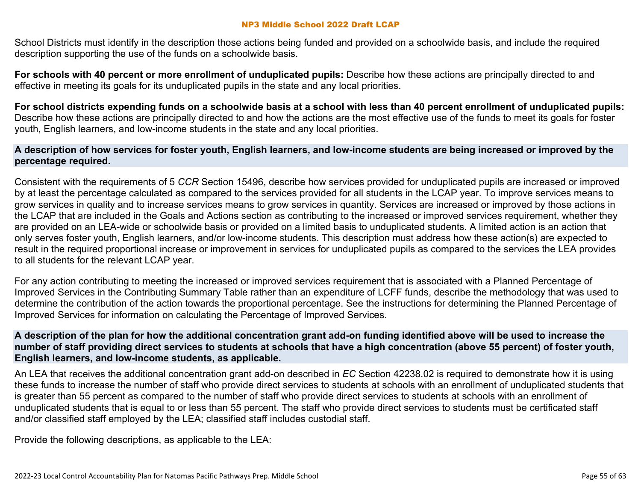School Districts must identify in the description those actions being funded and provided on a schoolwide basis, and include the required description supporting the use of the funds on a schoolwide basis.

**For schools with 40 percent or more enrollment of unduplicated pupils:** Describe how these actions are principally directed to and effective in meeting its goals for its unduplicated pupils in the state and any local priorities.

**For school districts expending funds on a schoolwide basis at a school with less than 40 percent enrollment of unduplicated pupils:** Describe how these actions are principally directed to and how the actions are the most effective use of the funds to meet its goals for foster youth, English learners, and low-income students in the state and any local priorities.

### **A description of how services for foster youth, English learners, and low-income students are being increased or improved by the percentage required.**

Consistent with the requirements of 5 *CCR* Section 15496, describe how services provided for unduplicated pupils are increased or improved by at least the percentage calculated as compared to the services provided for all students in the LCAP year. To improve services means to grow services in quality and to increase services means to grow services in quantity. Services are increased or improved by those actions in the LCAP that are included in the Goals and Actions section as contributing to the increased or improved services requirement, whether they are provided on an LEA-wide or schoolwide basis or provided on a limited basis to unduplicated students. A limited action is an action that only serves foster youth, English learners, and/or low-income students. This description must address how these action(s) are expected to result in the required proportional increase or improvement in services for unduplicated pupils as compared to the services the LEA provides to all students for the relevant LCAP year.

For any action contributing to meeting the increased or improved services requirement that is associated with a Planned Percentage of Improved Services in the Contributing Summary Table rather than an expenditure of LCFF funds, describe the methodology that was used to determine the contribution of the action towards the proportional percentage. See the instructions for determining the Planned Percentage of Improved Services for information on calculating the Percentage of Improved Services.

### **A description of the plan for how the additional concentration grant add-on funding identified above will be used to increase the number of staff providing direct services to students at schools that have a high concentration (above 55 percent) of foster youth, English learners, and low-income students, as applicable.**

An LEA that receives the additional concentration grant add-on described in *EC* Section 42238.02 is required to demonstrate how it is using these funds to increase the number of staff who provide direct services to students at schools with an enrollment of unduplicated students that is greater than 55 percent as compared to the number of staff who provide direct services to students at schools with an enrollment of unduplicated students that is equal to or less than 55 percent. The staff who provide direct services to students must be certificated staff and/or classified staff employed by the LEA; classified staff includes custodial staff.

Provide the following descriptions, as applicable to the LEA: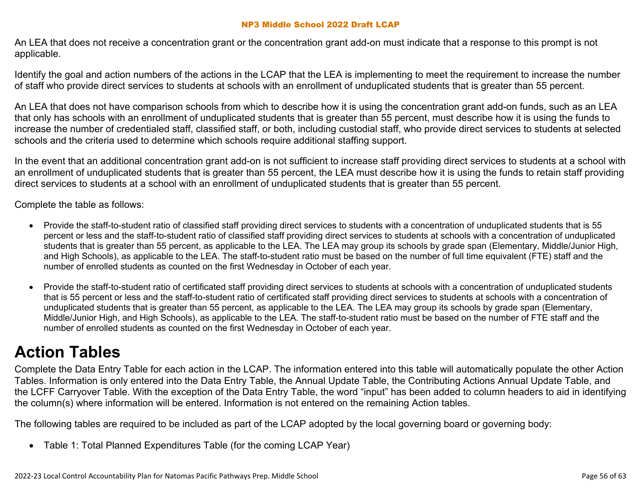An LEA that does not receive a concentration grant or the concentration grant add-on must indicate that a response to this prompt is not applicable.

Identify the goal and action numbers of the actions in the LCAP that the LEA is implementing to meet the requirement to increase the number of staff who provide direct services to students at schools with an enrollment of unduplicated students that is greater than 55 percent.

An LEA that does not have comparison schools from which to describe how it is using the concentration grant add-on funds, such as an LEA that only has schools with an enrollment of unduplicated students that is greater than 55 percent, must describe how it is using the funds to increase the number of credentialed staff, classified staff, or both, including custodial staff, who provide direct services to students at selected schools and the criteria used to determine which schools require additional staffing support.

In the event that an additional concentration grant add-on is not sufficient to increase staff providing direct services to students at a school with an enrollment of unduplicated students that is greater than 55 percent, the LEA must describe how it is using the funds to retain staff providing direct services to students at a school with an enrollment of unduplicated students that is greater than 55 percent.

Complete the table as follows:

- Provide the staff-to-student ratio of classified staff providing direct services to students with a concentration of unduplicated students that is 55 percent or less and the staff-to-student ratio of classified staff providing direct services to students at schools with a concentration of unduplicated students that is greater than 55 percent, as applicable to the LEA. The LEA may group its schools by grade span (Elementary, Middle/Junior High, and High Schools), as applicable to the LEA. The staff-to-student ratio must be based on the number of full time equivalent (FTE) staff and the number of enrolled students as counted on the first Wednesday in October of each year.
- Provide the staff-to-student ratio of certificated staff providing direct services to students at schools with a concentration of unduplicated students that is 55 percent or less and the staff-to-student ratio of certificated staff providing direct services to students at schools with a concentration of unduplicated students that is greater than 55 percent, as applicable to the LEA. The LEA may group its schools by grade span (Elementary, Middle/Junior High, and High Schools), as applicable to the LEA. The staff-to-student ratio must be based on the number of FTE staff and the number of enrolled students as counted on the first Wednesday in October of each year.

# **Action Tables**

Complete the Data Entry Table for each action in the LCAP. The information entered into this table will automatically populate the other Action Tables. Information is only entered into the Data Entry Table, the Annual Update Table, the Contributing Actions Annual Update Table, and the LCFF Carryover Table. With the exception of the Data Entry Table, the word "input" has been added to column headers to aid in identifying the column(s) where information will be entered. Information is not entered on the remaining Action tables.

The following tables are required to be included as part of the LCAP adopted by the local governing board or governing body:

• Table 1: Total Planned Expenditures Table (for the coming LCAP Year)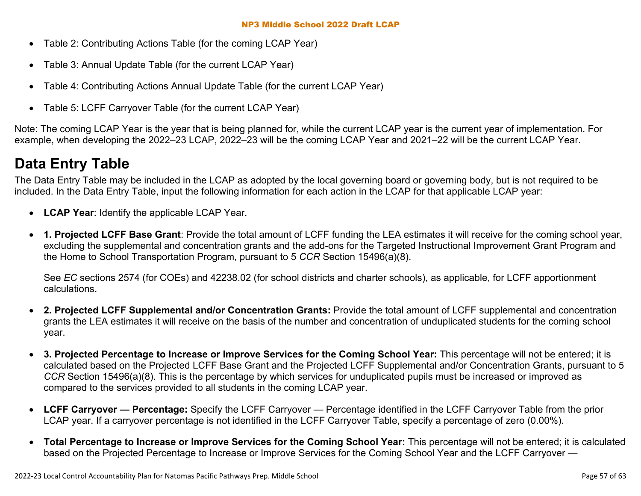- Table 2: Contributing Actions Table (for the coming LCAP Year)
- Table 3: Annual Update Table (for the current LCAP Year)
- Table 4: Contributing Actions Annual Update Table (for the current LCAP Year)
- Table 5: LCFF Carryover Table (for the current LCAP Year)

Note: The coming LCAP Year is the year that is being planned for, while the current LCAP year is the current year of implementation. For example, when developing the 2022–23 LCAP, 2022–23 will be the coming LCAP Year and 2021–22 will be the current LCAP Year.

# **Data Entry Table**

The Data Entry Table may be included in the LCAP as adopted by the local governing board or governing body, but is not required to be included. In the Data Entry Table, input the following information for each action in the LCAP for that applicable LCAP year:

- **LCAP Year**: Identify the applicable LCAP Year.
- **1. Projected LCFF Base Grant**: Provide the total amount of LCFF funding the LEA estimates it will receive for the coming school year, excluding the supplemental and concentration grants and the add-ons for the Targeted Instructional Improvement Grant Program and the Home to School Transportation Program, pursuant to 5 *CCR* Section 15496(a)(8).

See *EC* sections 2574 (for COEs) and 42238.02 (for school districts and charter schools), as applicable, for LCFF apportionment calculations.

- **2. Projected LCFF Supplemental and/or Concentration Grants:** Provide the total amount of LCFF supplemental and concentration grants the LEA estimates it will receive on the basis of the number and concentration of unduplicated students for the coming school year.
- **3. Projected Percentage to Increase or Improve Services for the Coming School Year:** This percentage will not be entered; it is calculated based on the Projected LCFF Base Grant and the Projected LCFF Supplemental and/or Concentration Grants, pursuant to 5 *CCR* Section 15496(a)(8). This is the percentage by which services for unduplicated pupils must be increased or improved as compared to the services provided to all students in the coming LCAP year.
- **LCFF Carryover Percentage:** Specify the LCFF Carryover Percentage identified in the LCFF Carryover Table from the prior LCAP year. If a carryover percentage is not identified in the LCFF Carryover Table, specify a percentage of zero (0.00%).
- **Total Percentage to Increase or Improve Services for the Coming School Year:** This percentage will not be entered; it is calculated based on the Projected Percentage to Increase or Improve Services for the Coming School Year and the LCFF Carryover —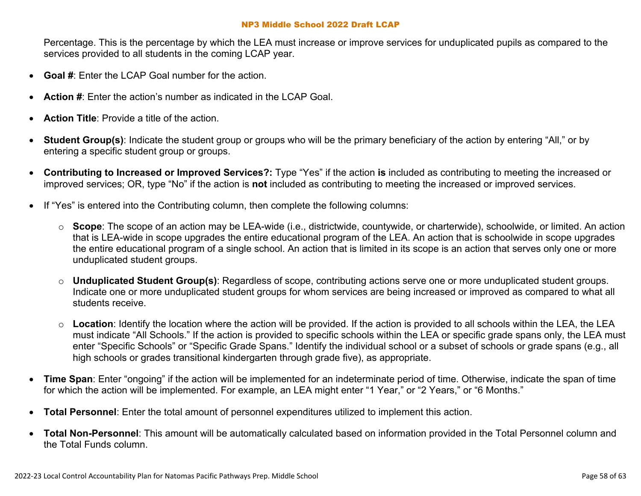Percentage. This is the percentage by which the LEA must increase or improve services for unduplicated pupils as compared to the services provided to all students in the coming LCAP year.

- **Goal #**: Enter the LCAP Goal number for the action.
- **Action #**: Enter the action's number as indicated in the LCAP Goal.
- **Action Title**: Provide a title of the action.
- **Student Group(s)**: Indicate the student group or groups who will be the primary beneficiary of the action by entering "All," or by entering a specific student group or groups.
- **Contributing to Increased or Improved Services?:** Type "Yes" if the action **is** included as contributing to meeting the increased or improved services; OR, type "No" if the action is **not** included as contributing to meeting the increased or improved services.
- If "Yes" is entered into the Contributing column, then complete the following columns:
	- o **Scope**: The scope of an action may be LEA-wide (i.e., districtwide, countywide, or charterwide), schoolwide, or limited. An action that is LEA-wide in scope upgrades the entire educational program of the LEA. An action that is schoolwide in scope upgrades the entire educational program of a single school. An action that is limited in its scope is an action that serves only one or more unduplicated student groups.
	- o **Unduplicated Student Group(s)**: Regardless of scope, contributing actions serve one or more unduplicated student groups. Indicate one or more unduplicated student groups for whom services are being increased or improved as compared to what all students receive.
	- o **Location**: Identify the location where the action will be provided. If the action is provided to all schools within the LEA, the LEA must indicate "All Schools." If the action is provided to specific schools within the LEA or specific grade spans only, the LEA must enter "Specific Schools" or "Specific Grade Spans." Identify the individual school or a subset of schools or grade spans (e.g., all high schools or grades transitional kindergarten through grade five), as appropriate.
- **Time Span**: Enter "ongoing" if the action will be implemented for an indeterminate period of time. Otherwise, indicate the span of time for which the action will be implemented. For example, an LEA might enter "1 Year," or "2 Years," or "6 Months."
- **Total Personnel**: Enter the total amount of personnel expenditures utilized to implement this action.
- **Total Non-Personnel**: This amount will be automatically calculated based on information provided in the Total Personnel column and the Total Funds column.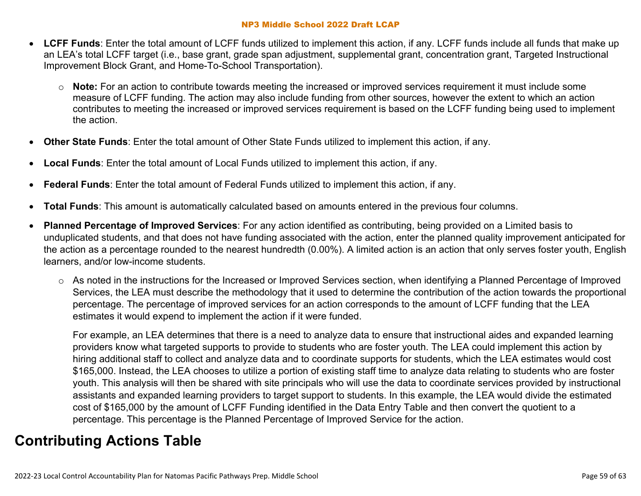- **LCFF Funds**: Enter the total amount of LCFF funds utilized to implement this action, if any. LCFF funds include all funds that make up an LEA's total LCFF target (i.e., base grant, grade span adjustment, supplemental grant, concentration grant, Targeted Instructional Improvement Block Grant, and Home-To-School Transportation).
	- o **Note:** For an action to contribute towards meeting the increased or improved services requirement it must include some measure of LCFF funding. The action may also include funding from other sources, however the extent to which an action contributes to meeting the increased or improved services requirement is based on the LCFF funding being used to implement the action.
- **Other State Funds**: Enter the total amount of Other State Funds utilized to implement this action, if any.
- **Local Funds**: Enter the total amount of Local Funds utilized to implement this action, if any.
- **Federal Funds**: Enter the total amount of Federal Funds utilized to implement this action, if any.
- **Total Funds**: This amount is automatically calculated based on amounts entered in the previous four columns.
- **Planned Percentage of Improved Services**: For any action identified as contributing, being provided on a Limited basis to unduplicated students, and that does not have funding associated with the action, enter the planned quality improvement anticipated for the action as a percentage rounded to the nearest hundredth (0.00%). A limited action is an action that only serves foster youth, English learners, and/or low-income students.
	- o As noted in the instructions for the Increased or Improved Services section, when identifying a Planned Percentage of Improved Services, the LEA must describe the methodology that it used to determine the contribution of the action towards the proportional percentage. The percentage of improved services for an action corresponds to the amount of LCFF funding that the LEA estimates it would expend to implement the action if it were funded.

For example, an LEA determines that there is a need to analyze data to ensure that instructional aides and expanded learning providers know what targeted supports to provide to students who are foster youth. The LEA could implement this action by hiring additional staff to collect and analyze data and to coordinate supports for students, which the LEA estimates would cost \$165,000. Instead, the LEA chooses to utilize a portion of existing staff time to analyze data relating to students who are foster youth. This analysis will then be shared with site principals who will use the data to coordinate services provided by instructional assistants and expanded learning providers to target support to students. In this example, the LEA would divide the estimated cost of \$165,000 by the amount of LCFF Funding identified in the Data Entry Table and then convert the quotient to a percentage. This percentage is the Planned Percentage of Improved Service for the action.

### **Contributing Actions Table**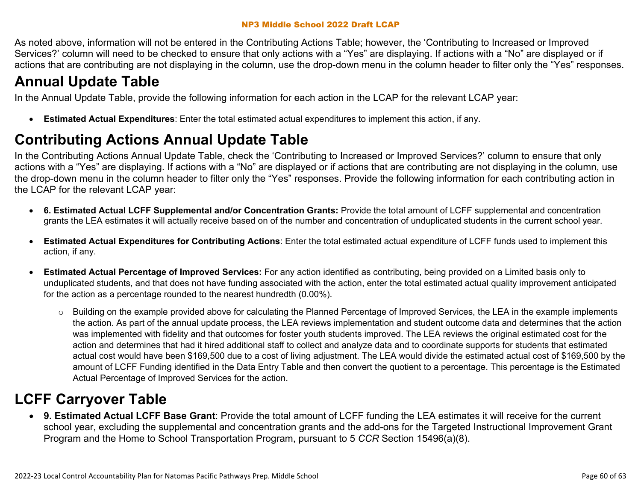As noted above, information will not be entered in the Contributing Actions Table; however, the 'Contributing to Increased or Improved Services?' column will need to be checked to ensure that only actions with a "Yes" are displaying. If actions with a "No" are displayed or if actions that are contributing are not displaying in the column, use the drop-down menu in the column header to filter only the "Yes" responses.

# **Annual Update Table**

In the Annual Update Table, provide the following information for each action in the LCAP for the relevant LCAP year:

• **Estimated Actual Expenditures**: Enter the total estimated actual expenditures to implement this action, if any.

## **Contributing Actions Annual Update Table**

In the Contributing Actions Annual Update Table, check the 'Contributing to Increased or Improved Services?' column to ensure that only actions with a "Yes" are displaying. If actions with a "No" are displayed or if actions that are contributing are not displaying in the column, use the drop-down menu in the column header to filter only the "Yes" responses. Provide the following information for each contributing action in the LCAP for the relevant LCAP year:

- **6. Estimated Actual LCFF Supplemental and/or Concentration Grants:** Provide the total amount of LCFF supplemental and concentration grants the LEA estimates it will actually receive based on of the number and concentration of unduplicated students in the current school year.
- **Estimated Actual Expenditures for Contributing Actions**: Enter the total estimated actual expenditure of LCFF funds used to implement this action, if any.
- **Estimated Actual Percentage of Improved Services:** For any action identified as contributing, being provided on a Limited basis only to unduplicated students, and that does not have funding associated with the action, enter the total estimated actual quality improvement anticipated for the action as a percentage rounded to the nearest hundredth (0.00%).
	- o Building on the example provided above for calculating the Planned Percentage of Improved Services, the LEA in the example implements the action. As part of the annual update process, the LEA reviews implementation and student outcome data and determines that the action was implemented with fidelity and that outcomes for foster youth students improved. The LEA reviews the original estimated cost for the action and determines that had it hired additional staff to collect and analyze data and to coordinate supports for students that estimated actual cost would have been \$169,500 due to a cost of living adjustment. The LEA would divide the estimated actual cost of \$169,500 by the amount of LCFF Funding identified in the Data Entry Table and then convert the quotient to a percentage. This percentage is the Estimated Actual Percentage of Improved Services for the action.

## **LCFF Carryover Table**

• **9. Estimated Actual LCFF Base Grant**: Provide the total amount of LCFF funding the LEA estimates it will receive for the current school year, excluding the supplemental and concentration grants and the add-ons for the Targeted Instructional Improvement Grant Program and the Home to School Transportation Program, pursuant to 5 *CCR* Section 15496(a)(8).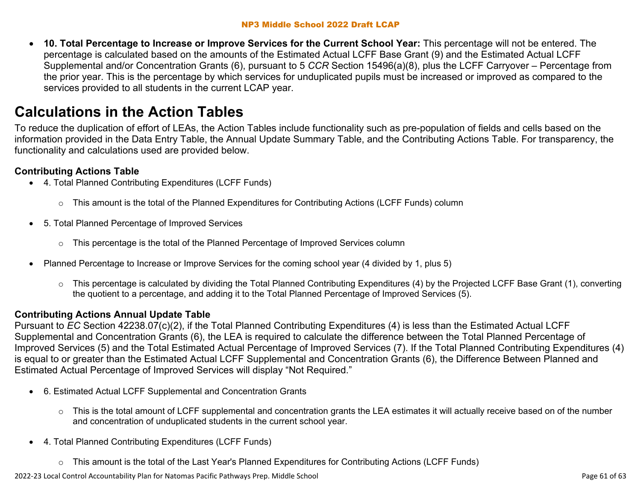• **10. Total Percentage to Increase or Improve Services for the Current School Year:** This percentage will not be entered. The percentage is calculated based on the amounts of the Estimated Actual LCFF Base Grant (9) and the Estimated Actual LCFF Supplemental and/or Concentration Grants (6), pursuant to 5 *CCR* Section 15496(a)(8), plus the LCFF Carryover – Percentage from the prior year. This is the percentage by which services for unduplicated pupils must be increased or improved as compared to the services provided to all students in the current LCAP year.

# **Calculations in the Action Tables**

To reduce the duplication of effort of LEAs, the Action Tables include functionality such as pre-population of fields and cells based on the information provided in the Data Entry Table, the Annual Update Summary Table, and the Contributing Actions Table. For transparency, the functionality and calculations used are provided below.

### **Contributing Actions Table**

- 4. Total Planned Contributing Expenditures (LCFF Funds)
	- $\circ$  This amount is the total of the Planned Expenditures for Contributing Actions (LCFF Funds) column
- 5. Total Planned Percentage of Improved Services
	- $\circ$  This percentage is the total of the Planned Percentage of Improved Services column
- Planned Percentage to Increase or Improve Services for the coming school year (4 divided by 1, plus 5)
	- $\circ$  This percentage is calculated by dividing the Total Planned Contributing Expenditures (4) by the Projected LCFF Base Grant (1), converting the quotient to a percentage, and adding it to the Total Planned Percentage of Improved Services (5).

### **Contributing Actions Annual Update Table**

Pursuant to *EC* Section 42238.07(c)(2), if the Total Planned Contributing Expenditures (4) is less than the Estimated Actual LCFF Supplemental and Concentration Grants (6), the LEA is required to calculate the difference between the Total Planned Percentage of Improved Services (5) and the Total Estimated Actual Percentage of Improved Services (7). If the Total Planned Contributing Expenditures (4) is equal to or greater than the Estimated Actual LCFF Supplemental and Concentration Grants (6), the Difference Between Planned and Estimated Actual Percentage of Improved Services will display "Not Required."

- 6. Estimated Actual LCFF Supplemental and Concentration Grants
	- $\circ$  This is the total amount of LCFF supplemental and concentration grants the LEA estimates it will actually receive based on of the number and concentration of unduplicated students in the current school year.
- 4. Total Planned Contributing Expenditures (LCFF Funds)
	- $\circ$  This amount is the total of the Last Year's Planned Expenditures for Contributing Actions (LCFF Funds)